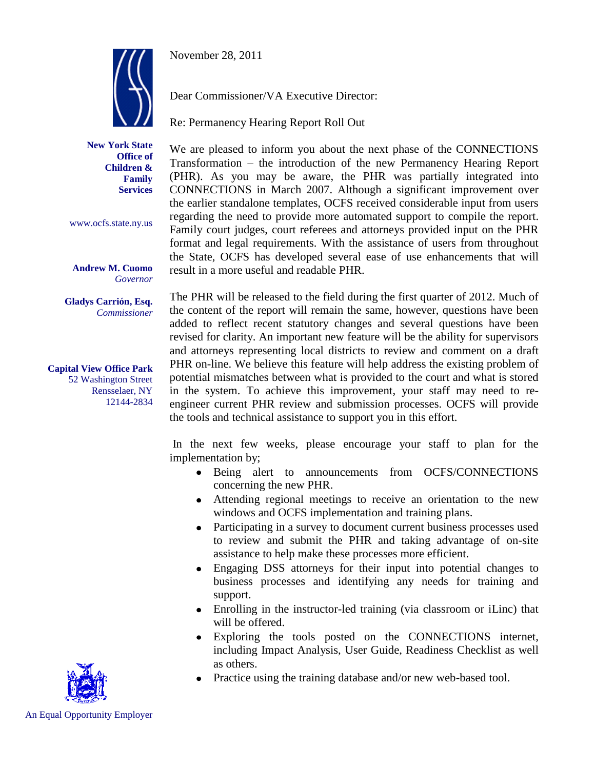November 28, 2011



**New York State Office of Children & Family Services**

www.ocfs.state.ny.us

**Andrew M. Cuomo** *Governor*

**Gladys Carrión, Esq.** *Commissioner*

**Capital View Office Park** 52 Washington Street Rensselaer, NY 12144-2834 Dear Commissioner/VA Executive Director:

Re: Permanency Hearing Report Roll Out

We are pleased to inform you about the next phase of the CONNECTIONS Transformation – the introduction of the new Permanency Hearing Report (PHR). As you may be aware, the PHR was partially integrated into CONNECTIONS in March 2007. Although a significant improvement over the earlier standalone templates, OCFS received considerable input from users regarding the need to provide more automated support to compile the report. Family court judges, court referees and attorneys provided input on the PHR format and legal requirements. With the assistance of users from throughout the State, OCFS has developed several ease of use enhancements that will result in a more useful and readable PHR.

The PHR will be released to the field during the first quarter of 2012. Much of the content of the report will remain the same, however, questions have been added to reflect recent statutory changes and several questions have been revised for clarity. An important new feature will be the ability for supervisors and attorneys representing local districts to review and comment on a draft PHR on-line. We believe this feature will help address the existing problem of potential mismatches between what is provided to the court and what is stored in the system. To achieve this improvement, your staff may need to reengineer current PHR review and submission processes. OCFS will provide the tools and technical assistance to support you in this effort.

In the next few weeks, please encourage your staff to plan for the implementation by;

- Being alert to announcements from OCFS/CONNECTIONS concerning the new PHR.
- Attending regional meetings to receive an orientation to the new windows and OCFS implementation and training plans.
- Participating in a survey to document current business processes used to review and submit the PHR and taking advantage of on-site assistance to help make these processes more efficient.
- $\bullet$ Engaging DSS attorneys for their input into potential changes to business processes and identifying any needs for training and support.
- Enrolling in the instructor-led training (via classroom or iLinc) that will be offered.
- Exploring the tools posted on the CONNECTIONS internet,  $\bullet$ including Impact Analysis, User Guide, Readiness Checklist as well as others.
- Practice using the training database and/or new web-based tool.



An Equal Opportunity Employer